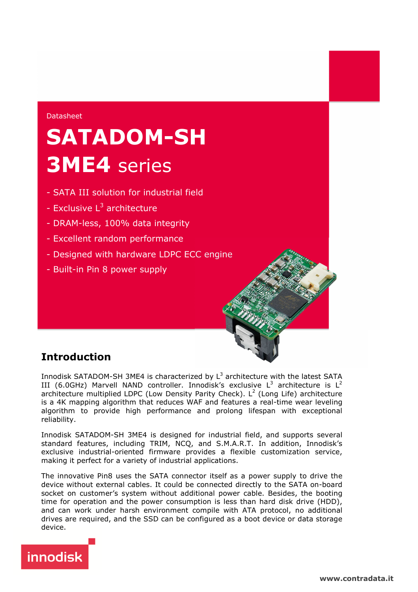### Datasheet

# **SATADOM-SH 3ME4** series

- SATA III solution for industrial field
- Exclusive L<sup>3</sup> architecture
- DRAM-less, 100% data integrity
- Excellent random performance
- Designed with hardware LDPC ECC engine
- Built-in Pin 8 power supply

# **Introduction**

Innodisk SATADOM-SH 3ME4 is characterized by  $L^3$  architecture with the latest SATA III (6.0GHz) Marvell NAND controller. Innodisk's exclusive  $L^3$  architecture is  $L^2$ architecture multiplied LDPC (Low Density Parity Check). L<sup>2</sup> (Long Life) architecture is a 4K mapping algorithm that reduces WAF and features a real-time wear leveling algorithm to provide high performance and prolong lifespan with exceptional reliability.

Innodisk SATADOM-SH 3ME4 is designed for industrial field, and supports several standard features, including TRIM, NCQ, and S.M.A.R.T. In addition, Innodisk's exclusive industrial-oriented firmware provides a flexible customization service, making it perfect for a variety of industrial applications.

The innovative Pin8 uses the SATA connector itself as a power supply to drive the device without external cables. It could be connected directly to the SATA on-board socket on customer's system without additional power cable. Besides, the booting time for operation and the power consumption is less than hard disk drive (HDD), and can work under harsh environment compile with ATA protocol, no additional drives are required, and the SSD can be configured as a boot device or data storage device.